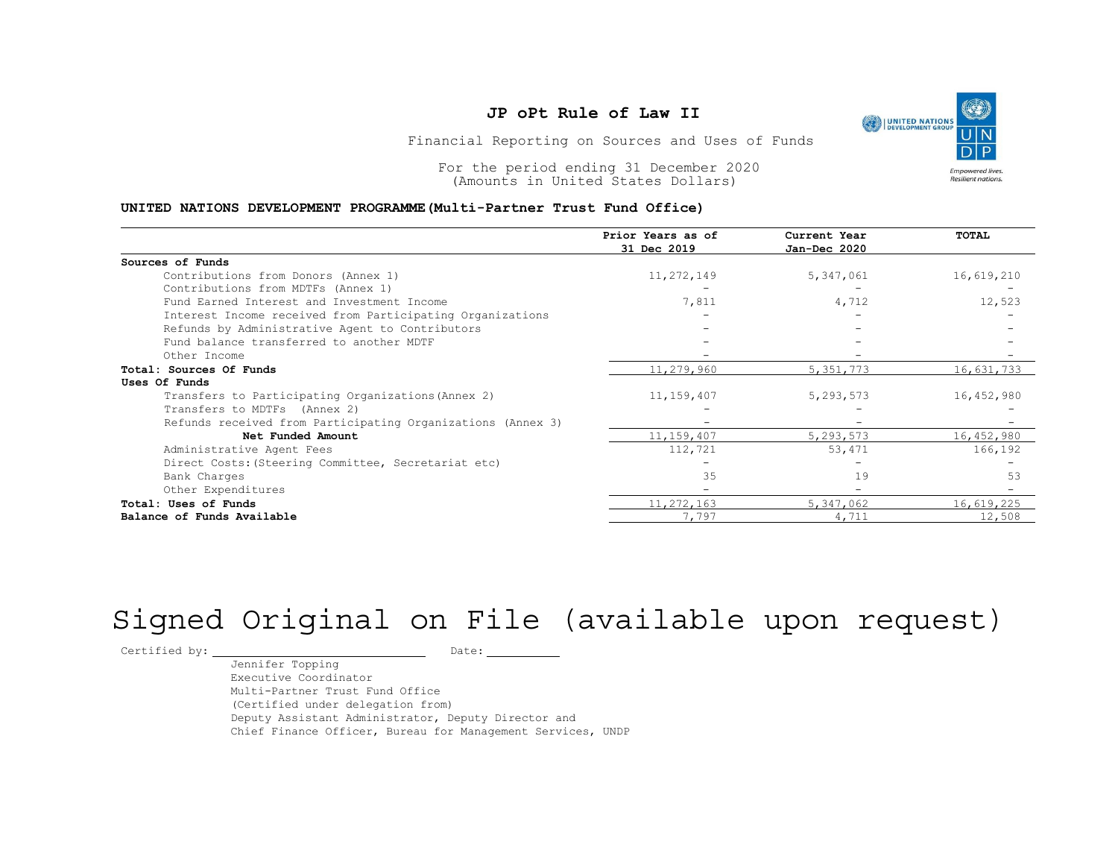## JP oPt Rule of Law II



### UNITED NATIONS DEVELOPMENT PROGRAMME(Multi-Partner Trust Fund Office)

|                                                                                                                                                                                                        | JP oPt Rule of Law II                            |                              | <b>UNITED NATIONS</b><br>DEVELOPMENT GROUP |  |  |
|--------------------------------------------------------------------------------------------------------------------------------------------------------------------------------------------------------|--------------------------------------------------|------------------------------|--------------------------------------------|--|--|
|                                                                                                                                                                                                        | Financial Reporting on Sources and Uses of Funds |                              |                                            |  |  |
| For the period ending 31 December 2020<br><b>Empowered lives.</b><br>Resilient nations<br>(Amounts in United States Dollars)<br>UNITED NATIONS DEVELOPMENT PROGRAMME (Multi-Partner Trust Fund Office) |                                                  |                              |                                            |  |  |
|                                                                                                                                                                                                        | Prior Years as of<br>31 Dec 2019                 | Current Year<br>Jan-Dec 2020 | TOTAL                                      |  |  |
| Sources of Funds                                                                                                                                                                                       |                                                  |                              |                                            |  |  |
| Contributions from Donors (Annex 1)                                                                                                                                                                    | 11,272,149                                       | 5,347,061                    | 16,619,210                                 |  |  |
| Contributions from MDTFs (Annex 1)                                                                                                                                                                     |                                                  |                              |                                            |  |  |
| Fund Earned Interest and Investment Income                                                                                                                                                             | 7,811                                            | 4,712                        | 12,523                                     |  |  |
| Interest Income received from Participating Organizations                                                                                                                                              |                                                  |                              |                                            |  |  |
| Refunds by Administrative Agent to Contributors                                                                                                                                                        |                                                  |                              |                                            |  |  |
| Fund balance transferred to another MDTF                                                                                                                                                               |                                                  |                              |                                            |  |  |
| Other Income                                                                                                                                                                                           | $\sim$                                           |                              |                                            |  |  |
| Total: Sources Of Funds                                                                                                                                                                                | 11,279,960                                       | 5, 351, 773                  | 16,631,733                                 |  |  |
| Uses Of Funds                                                                                                                                                                                          |                                                  |                              |                                            |  |  |
| Transfers to Participating Organizations (Annex 2)                                                                                                                                                     | 11, 159, 407                                     | 5,293,573                    | 16,452,980                                 |  |  |
| Transfers to MDTFs (Annex 2)                                                                                                                                                                           |                                                  |                              |                                            |  |  |
| Refunds received from Participating Organizations (Annex 3)                                                                                                                                            |                                                  |                              |                                            |  |  |
| Net Funded Amount                                                                                                                                                                                      | 11, 159, 407                                     | 5,293,573                    | 16,452,980                                 |  |  |
| Administrative Agent Fees                                                                                                                                                                              | 112,721                                          | 53,471                       | 166,192                                    |  |  |
| Direct Costs: (Steering Committee, Secretariat etc)                                                                                                                                                    |                                                  |                              |                                            |  |  |
| Bank Charges                                                                                                                                                                                           | 35                                               | 19                           | 53                                         |  |  |
| Other Expenditures                                                                                                                                                                                     |                                                  |                              |                                            |  |  |
|                                                                                                                                                                                                        | 11,272,163                                       | 5,347,062                    | 16,619,225                                 |  |  |
| Total: Uses of Funds                                                                                                                                                                                   |                                                  |                              |                                            |  |  |

# Signed Original on File (available upon request)

Certified by: Date:

Jennifer Topping Executive Coordinator Multi-Partner Trust Fund Office (Certified under delegation from) Deputy Assistant Administrator, Deputy Director and Chief Finance Officer, Bureau for Management Services, UNDP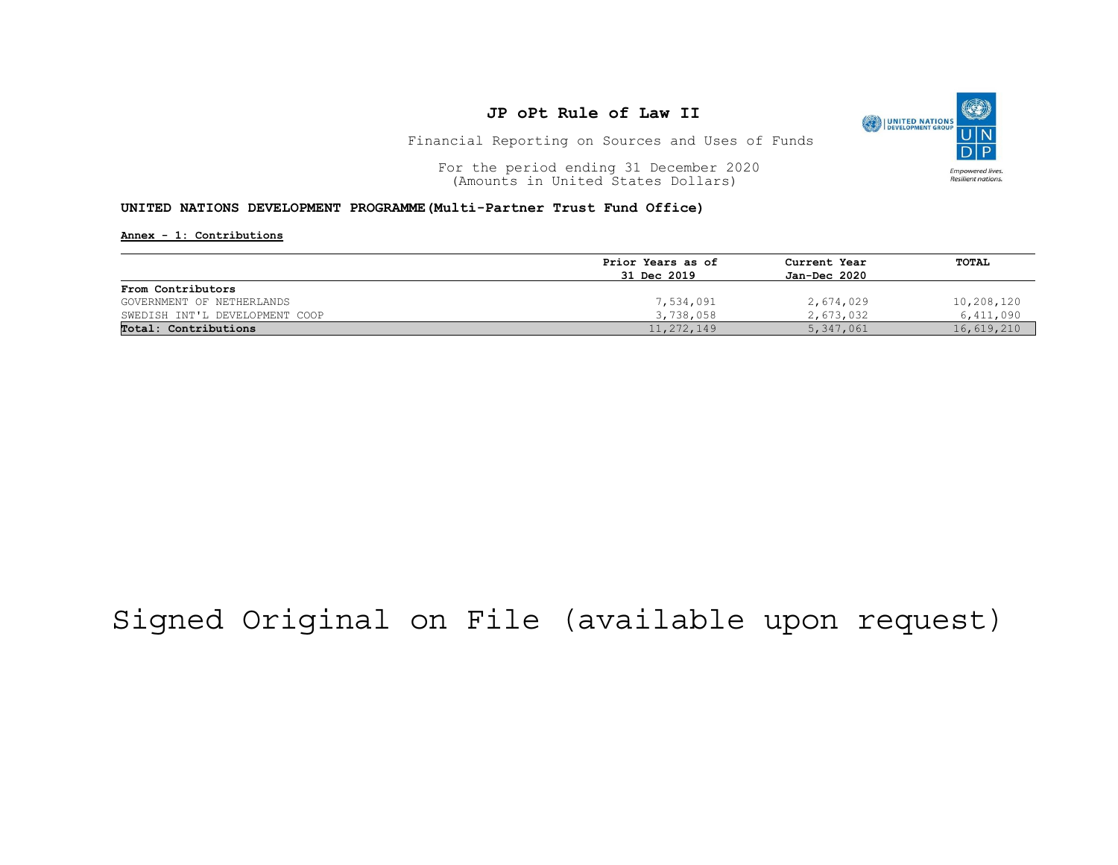

Financial Reporting on Sources and Uses of Funds

For the period ending 31 December 2020<br>
(Amounts in United States Dollars) (amounts in United States Dollars) (Amounts in United States Dollars)

### UNITED NATIONS DEVELOPMENT PROGRAMME(Multi-Partner Trust Fund Office)

Annex - 1: Contributions

|                                | Prior Years as of | Current Year<br>Jan-Dec 2020 | TOTAL      |
|--------------------------------|-------------------|------------------------------|------------|
|                                | 31 Dec 2019       |                              |            |
| From Contributors              |                   |                              |            |
| GOVERNMENT OF NETHERLANDS      | 7,534,091         | 2,674,029                    | 10,208,120 |
| SWEDISH INT'L DEVELOPMENT COOP | 3,738,058         | 2,673,032                    | 6,411,090  |
| Total: Contributions           | 11,272,149        | 5,347,061                    | 16,619,210 |

## Signed Original on File (available upon request)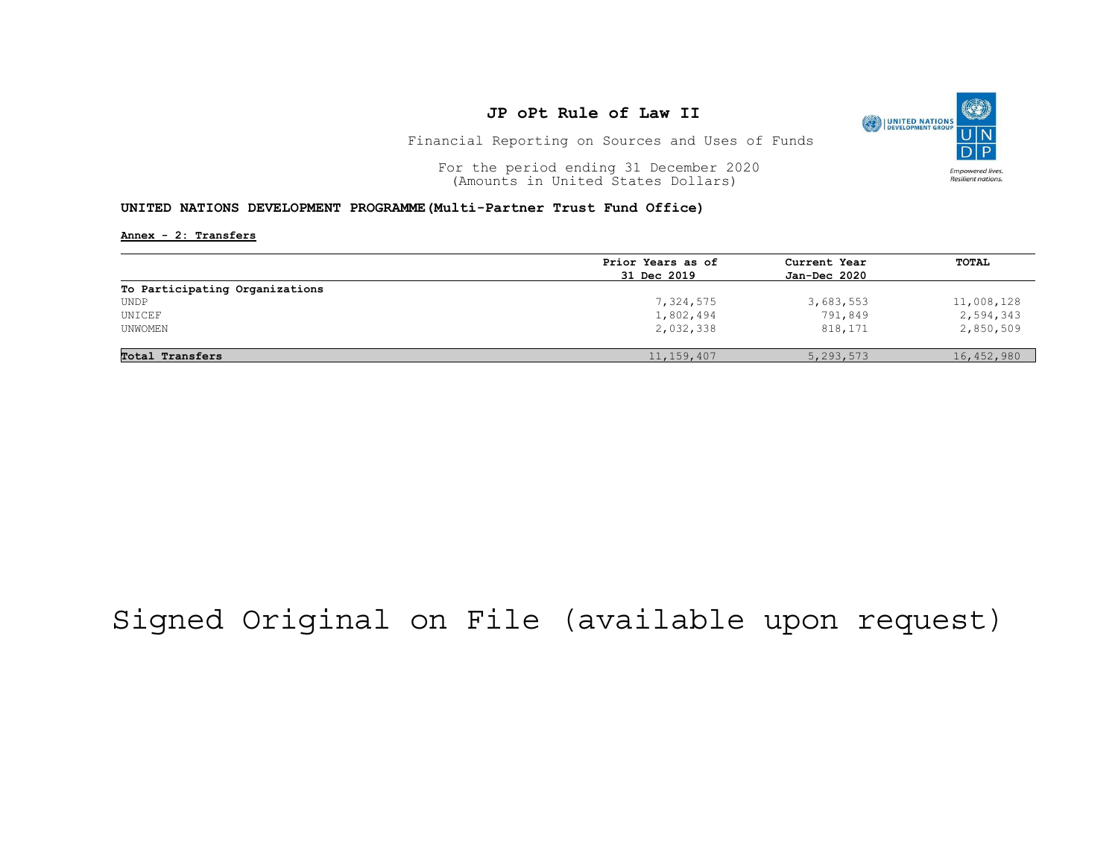

Financial Reporting on Sources and Uses of Funds

For the period ending 31 December 2020<br>
(Amounts in United States Dollars) (amounts in United States Dollars) (Amounts in United States Dollars)

### UNITED NATIONS DEVELOPMENT PROGRAMME(Multi-Partner Trust Fund Office)

Annex - 2: Transfers

|                                | Prior Years as of | Current Year<br>Jan-Dec 2020 | <b>TOTAL</b> |
|--------------------------------|-------------------|------------------------------|--------------|
|                                | 31 Dec 2019       |                              |              |
| To Participating Organizations |                   |                              |              |
| UNDP                           | 7,324,575         | 3,683,553                    | 11,008,128   |
| UNICEF                         | 1,802,494         | 791,849                      | 2,594,343    |
| UNWOMEN                        | 2,032,338         | 818,171                      | 2,850,509    |
| Total Transfers                | 11, 159, 407      | 5, 293, 573                  | 16,452,980   |

## Signed Original on File (available upon request)